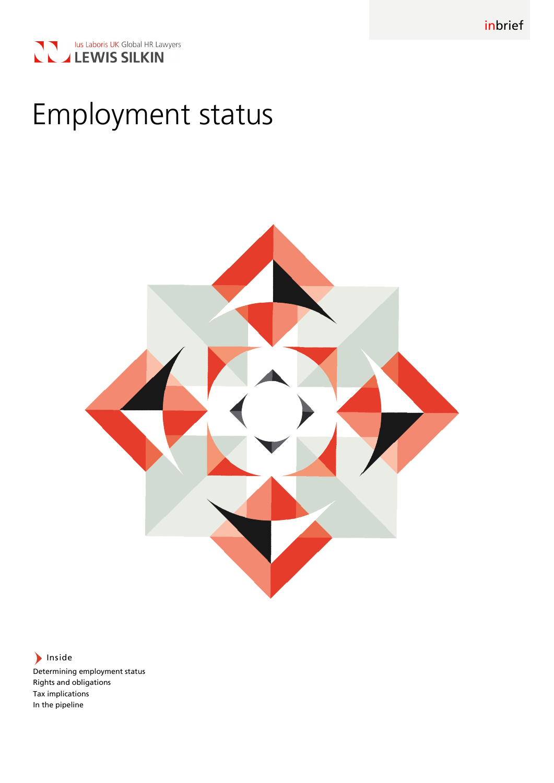



# Employment status



hiside

Determining employment status Rights and obligations Tax implications In the pipeline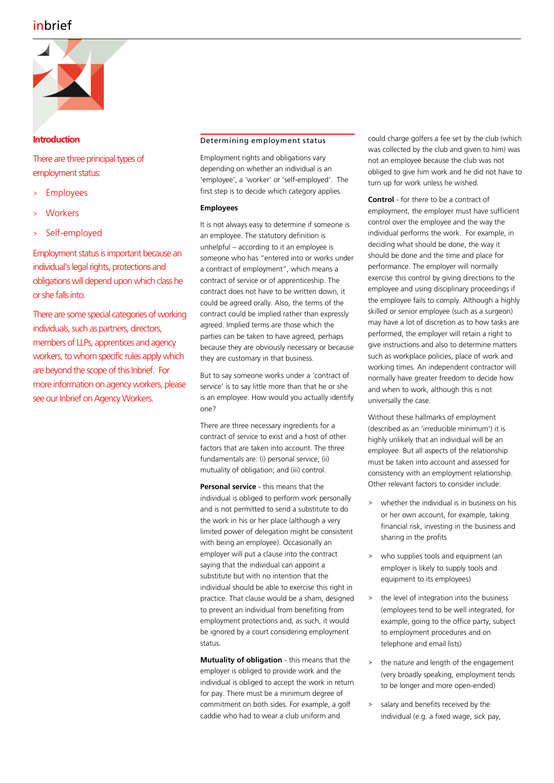## inbrief



### **Introduction**

There are three principal types of employment status:

- **Employees**
- **Workers**
- Self-employed

Employment status is important because an individual's legal rights, protections and obligations will depend upon which class he or she falls into.

There are some special categories of working individuals, such as partners, directors, members of LLPs, apprentices and agency workers, to whom specific rules apply which are beyond the scope of this Inbrief. For more information on agency workers, please see our Inbrief on Agency Workers.

#### Determining employment status

Employment rights and obligations vary depending on whether an individual is an 'employee', a 'worker' or 'self-employed'. The first step is to decide which category applies.

#### **Employees**

It is not always easy to determine if someone is an employee. The statutory definition is unhelpful – according to it an employee is someone who has "entered into or works under a contract of employment", which means a contract of service or of apprenticeship. The contract does not have to be written down, it could be agreed orally. Also, the terms of the contract could be implied rather than expressly agreed. Implied terms are those which the parties can be taken to have agreed, perhaps because they are obviously necessary or because they are customary in that business.

But to say someone works under a 'contract of service' is to say little more than that he or she is an employee. How would you actually identify one?

There are three necessary ingredients for a contract of service to exist and a host of other factors that are taken into account. The three fundamentals are: (i) personal service; (ii) mutuality of obligation; and (iii) control.

**Personal service** - this means that the individual is obliged to perform work personally and is not permitted to send a substitute to do the work in his or her place (although a very limited power of delegation might be consistent with being an employee). Occasionally an employer will put a clause into the contract saying that the individual can appoint a substitute but with no intention that the individual should be able to exercise this right in practice. That clause would be a sham, designed to prevent an individual from benefiting from employment protections and, as such, it would be ignored by a court considering employment status.

**Mutuality of obligation** - this means that the employer is obliged to provide work and the individual is obliged to accept the work in return for pay. There must be a minimum degree of commitment on both sides. For example, a golf caddie who had to wear a club uniform and

could charge golfers a fee set by the club (which was collected by the club and given to him) was not an employee because the club was not obliged to give him work and he did not have to turn up for work unless he wished.

**Control** - for there to be a contract of employment, the employer must have sufficient control over the employee and the way the individual performs the work. For example, in deciding what should be done, the way it should be done and the time and place for performance. The employer will normally exercise this control by giving directions to the employee and using disciplinary proceedings if the employee fails to comply. Although a highly skilled or senior employee (such as a surgeon) may have a lot of discretion as to how tasks are performed, the employer will retain a right to give instructions and also to determine matters such as workplace policies, place of work and working times. An independent contractor will normally have greater freedom to decide how and when to work, although this is not universally the case.

Without these hallmarks of employment (described as an 'irreducible minimum') it is highly unlikely that an individual will be an employee. But all aspects of the relationship must be taken into account and assessed for consistency with an employment relationship. Other relevant factors to consider include:

- whether the individual is in business on his or her own account, for example, taking financial risk, investing in the business and sharing in the profits
- who supplies tools and equipment (an employer is likely to supply tools and equipment to its employees)
- > the level of integration into the business (employees tend to be well integrated, for example, going to the office party, subject to employment procedures and on telephone and email lists)
- > the nature and length of the engagement (very broadly speaking, employment tends to be longer and more open-ended)
- > salary and benefits received by the individual (e.g. a fixed wage, sick pay,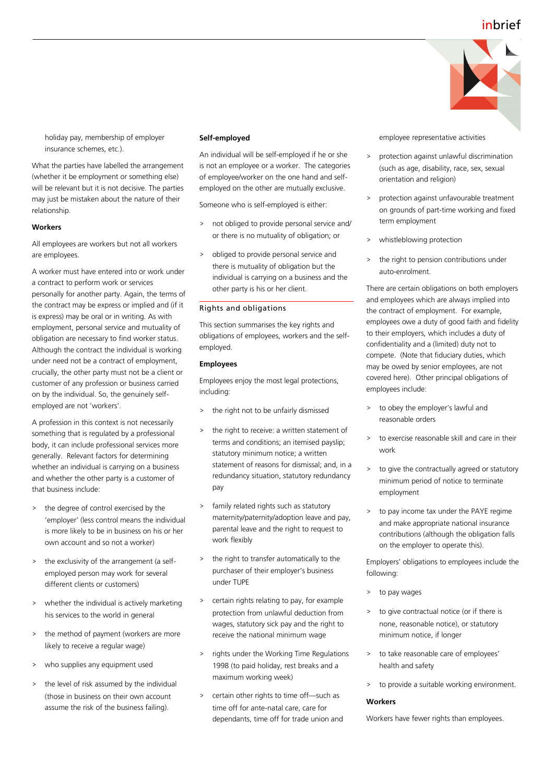## inbrief



holiday pay, membership of employer insurance schemes, etc.).

What the parties have labelled the arrangement (whether it be employment or something else) will be relevant but it is not decisive. The parties may just be mistaken about the nature of their relationship.

#### **Workers**

All employees are workers but not all workers are employees.

A worker must have entered into or work under a contract to perform work or services personally for another party. Again, the terms of the contract may be express or implied and (if it is express) may be oral or in writing. As with employment, personal service and mutuality of obligation are necessary to find worker status. Although the contract the individual is working under need not be a contract of employment, crucially, the other party must not be a client or customer of any profession or business carried on by the individual. So, the genuinely selfemployed are not 'workers'.

A profession in this context is not necessarily something that is regulated by a professional body, it can include professional services more generally. Relevant factors for determining whether an individual is carrying on a business and whether the other party is a customer of that business include:

- > the degree of control exercised by the 'employer' (less control means the individual is more likely to be in business on his or her own account and so not a worker)
- > the exclusivity of the arrangement (a selfemployed person may work for several different clients or customers)
- whether the individual is actively marketing his services to the world in general
- the method of payment (workers are more likely to receive a regular wage)
- > who supplies any equipment used
- > the level of risk assumed by the individual (those in business on their own account assume the risk of the business failing).

#### **Self-employed**

An individual will be self-employed if he or she is not an employee or a worker. The categories of employee/worker on the one hand and selfemployed on the other are mutually exclusive.

Someone who is self-employed is either:

- > not obliged to provide personal service and/ or there is no mutuality of obligation; or
- > obliged to provide personal service and there is mutuality of obligation but the individual is carrying on a business and the other party is his or her client.

#### Rights and obligations

This section summarises the key rights and obligations of employees, workers and the selfemployed.

#### **Employees**

Employees enjoy the most legal protections, including:

- > the right not to be unfairly dismissed
- the right to receive: a written statement of terms and conditions; an itemised payslip; statutory minimum notice; a written statement of reasons for dismissal; and, in a redundancy situation, statutory redundancy pay
- > family related rights such as statutory maternity/paternity/adoption leave and pay, parental leave and the right to request to work flexibly
- the right to transfer automatically to the purchaser of their employer's business under TUPE
- certain rights relating to pay, for example protection from unlawful deduction from wages, statutory sick pay and the right to receive the national minimum wage
- > rights under the Working Time Regulations 1998 (to paid holiday, rest breaks and a maximum working week)
- > certain other rights to time off—such as time off for ante-natal care, care for dependants, time off for trade union and

employee representative activities

- > protection against unlawful discrimination (such as age, disability, race, sex, sexual orientation and religion)
- > protection against unfavourable treatment on grounds of part-time working and fixed term employment
- whistleblowing protection
- the right to pension contributions under auto-enrolment.

There are certain obligations on both employers and employees which are always implied into the contract of employment. For example, employees owe a duty of good faith and fidelity to their employers, which includes a duty of confidentiality and a (limited) duty not to compete. (Note that fiduciary duties, which may be owed by senior employees, are not covered here). Other principal obligations of employees include:

- > to obey the employer's lawful and reasonable orders
- > to exercise reasonable skill and care in their work
- > to give the contractually agreed or statutory minimum period of notice to terminate employment
- to pay income tax under the PAYE regime and make appropriate national insurance contributions (although the obligation falls on the employer to operate this).

Employers' obligations to employees include the following:

- to pay wages
- > to give contractual notice (or if there is none, reasonable notice), or statutory minimum notice, if longer
- > to take reasonable care of employees' health and safety
- > to provide a suitable working environment.

#### **Workers**

Workers have fewer rights than employees.